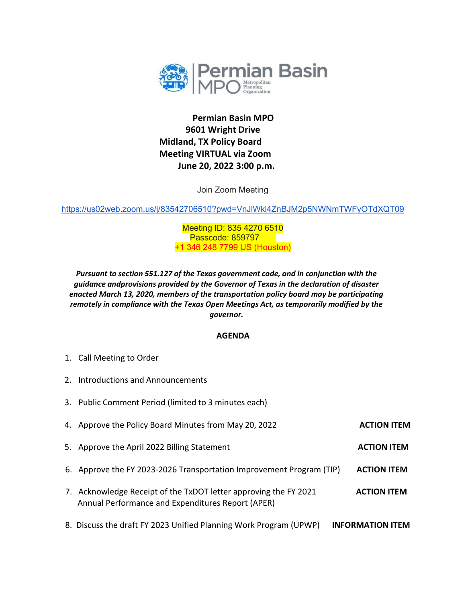

# **Permian Basin MPO 9601 Wright Drive Midland, TX Policy Board Meeting VIRTUAL via Zoom June 20, 2022 3:00 p.m.**

Join Zoom Meeting

<https://us02web.zoom.us/j/83542706510?pwd=VnJlWkl4ZnBJM2p5NWNmTWFyOTdXQT09>

Meeting ID: 835 4270 6510 Passcode: 859797 +1 346 248 7799 US (Houston)

*Pursuant to section 551.127 of the Texas government code, and in conjunction with the guidance andprovisions provided by the Governor of Texas in the declaration of disaster enacted March 13, 2020, members of the transportation policy board may be participating remotely in compliance with the Texas Open Meetings Act, as temporarily modified by the governor.*

## **AGENDA**

- 1. Call Meeting to Order
- 2. Introductions and Announcements
- 3. Public Comment Period (limited to 3 minutes each)
- 4. Approve the Policy Board Minutes from May 20, 2022 **ACTION ITEM**
- 5. Approve the April 2022 Billing Statement **ACTION ITEM**
- 6. Approve the FY 2023-2026 Transportation Improvement Program (TIP) **ACTION ITEM**
- 7. Acknowledge Receipt of the TxDOT letter approving the FY 2021 **ACTION ITEM** Annual Performance and Expenditures Report (APER)
- 8. Discuss the draft FY 2023 Unified Planning Work Program (UPWP) **INFORMATION ITEM**